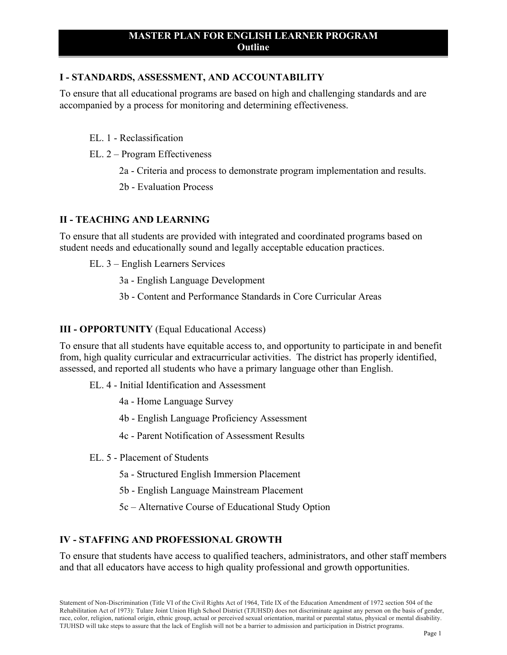# **I - STANDARDS, ASSESSMENT, AND ACCOUNTABILITY**

To ensure that all educational programs are based on high and challenging standards and are accompanied by a process for monitoring and determining effectiveness.

#### EL. 1 - Reclassification

- EL. 2 Program Effectiveness
	- 2a Criteria and process to demonstrate program implementation and results.
	- 2b Evaluation Process

### **II - TEACHING AND LEARNING**

To ensure that all students are provided with integrated and coordinated programs based on student needs and educationally sound and legally acceptable education practices.

- EL. 3 English Learners Services
	- 3a English Language Development
	- 3b Content and Performance Standards in Core Curricular Areas

### **III - OPPORTUNITY** (Equal Educational Access)

To ensure that all students have equitable access to, and opportunity to participate in and benefit from, high quality curricular and extracurricular activities. The district has properly identified, assessed, and reported all students who have a primary language other than English.

- EL. 4 Initial Identification and Assessment
	- 4a Home Language Survey
	- 4b English Language Proficiency Assessment
	- 4c Parent Notification of Assessment Results
- EL. 5 Placement of Students
	- 5a Structured English Immersion Placement
	- 5b English Language Mainstream Placement
	- 5c Alternative Course of Educational Study Option

## **IV - STAFFING AND PROFESSIONAL GROWTH**

To ensure that students have access to qualified teachers, administrators, and other staff members and that all educators have access to high quality professional and growth opportunities.